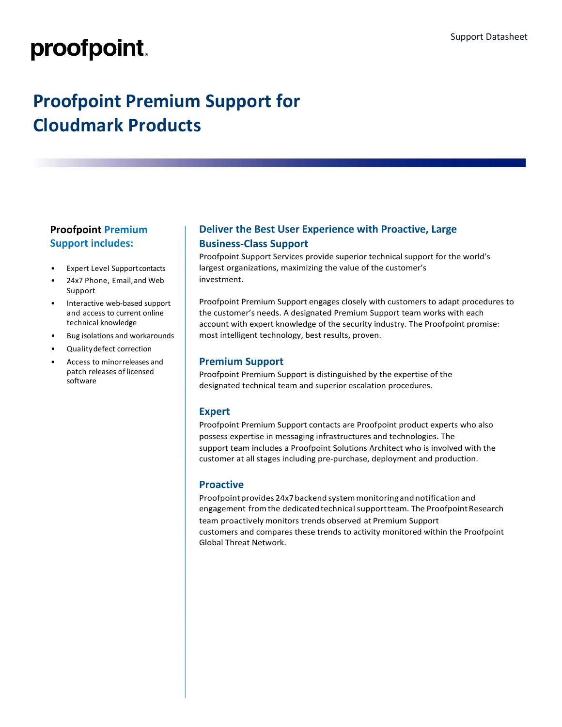# proofpoint.

# **Proofpoint Premium Support for Cloudmark Products**

# **Proofpoint Premium Support includes:**

- **Expert Level Support contacts**
- 24x7 Phone, Email,and Web Support
- Interactive web-based support and access to current online technical knowledge
- Bug isolations and workarounds
- Qualitydefect correction
- Access to minorreleases and patch releases of licensed software

### **Deliver the Best User Experience with Proactive, Large Business-Class Support**

Proofpoint Support Services provide superior technical support for the world's largest organizations, maximizing the value of the customer's investment.

Proofpoint Premium Support engages closely with customers to adapt procedures to the customer's needs. A designated Premium Support team works with each account with expert knowledge of the security industry. The Proofpoint promise: most intelligent technology, best results, proven.

#### **Premium Support**

Proofpoint Premium Support is distinguished by the expertise of the designated technical team and superior escalation procedures.

#### **Expert**

Proofpoint Premium Support contacts are Proofpoint product experts who also possess expertise in messaging infrastructures and technologies. The support team includes a Proofpoint Solutions Architect who is involved with the customer at all stages including pre-purchase, deployment and production.

#### **Proactive**

Proofpoint provides 24x7 backend system monitoring and notification and engagement from the dedicated technical support team. The Proofpoint Research team proactively monitors trends observed at Premium Support customers and compares these trends to activity monitored within the Proofpoint Global Threat Network.